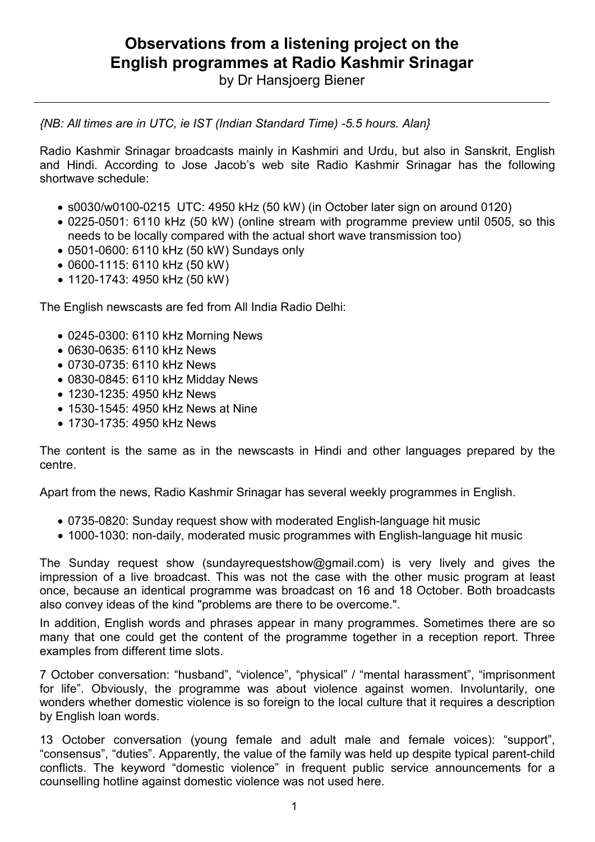## **Observations from a listening project on the English programmes at Radio Kashmir Srinagar**

by Dr Hansjoerg Biener

*{NB: All times are in UTC, ie IST (Indian Standard Time) -5.5 hours. Alan}* 

Radio Kashmir Srinagar broadcasts mainly in Kashmiri and Urdu, but also in Sanskrit, English and Hindi. According to Jose Jacob's web site Radio Kashmir Srinagar has the following shortwave schedule:

- s0030/w0100-0215 UTC: 4950 kHz (50 kW) (in October later sign on around 0120)
- 0225-0501: 6110 kHz (50 kW) (online stream with programme preview until 0505, so this needs to be locally compared with the actual short wave transmission too)
- 0501-0600: 6110 kHz (50 kW) Sundays only
- 0600-1115: 6110 kHz (50 kW)
- 1120-1743: 4950 kHz (50 kW)

The English newscasts are fed from All India Radio Delhi:

- 0245-0300: 6110 kHz Morning News
- 0630-0635: 6110 kHz News
- 0730-0735: 6110 kHz News
- 0830-0845: 6110 kHz Midday News
- 1230-1235: 4950 kHz News
- 1530-1545: 4950 kHz News at Nine
- 1730-1735: 4950 kHz News

The content is the same as in the newscasts in Hindi and other languages prepared by the centre.

Apart from the news, Radio Kashmir Srinagar has several weekly programmes in English.

- 0735-0820: Sunday request show with moderated English-language hit music
- 1000-1030: non-daily, moderated music programmes with English-language hit music

The Sunday request show (sundayrequestshow@gmail.com) is very lively and gives the impression of a live broadcast. This was not the case with the other music program at least once, because an identical programme was broadcast on 16 and 18 October. Both broadcasts also convey ideas of the kind "problems are there to be overcome.".

In addition, English words and phrases appear in many programmes. Sometimes there are so many that one could get the content of the programme together in a reception report. Three examples from different time slots.

7 October conversation: "husband", "violence", "physical" / "mental harassment", "imprisonment for life". Obviously, the programme was about violence against women. Involuntarily, one wonders whether domestic violence is so foreign to the local culture that it requires a description by English loan words.

13 October conversation (young female and adult male and female voices): "support", "consensus", "duties". Apparently, the value of the family was held up despite typical parent-child conflicts. The keyword "domestic violence" in frequent public service announcements for a counselling hotline against domestic violence was not used here.